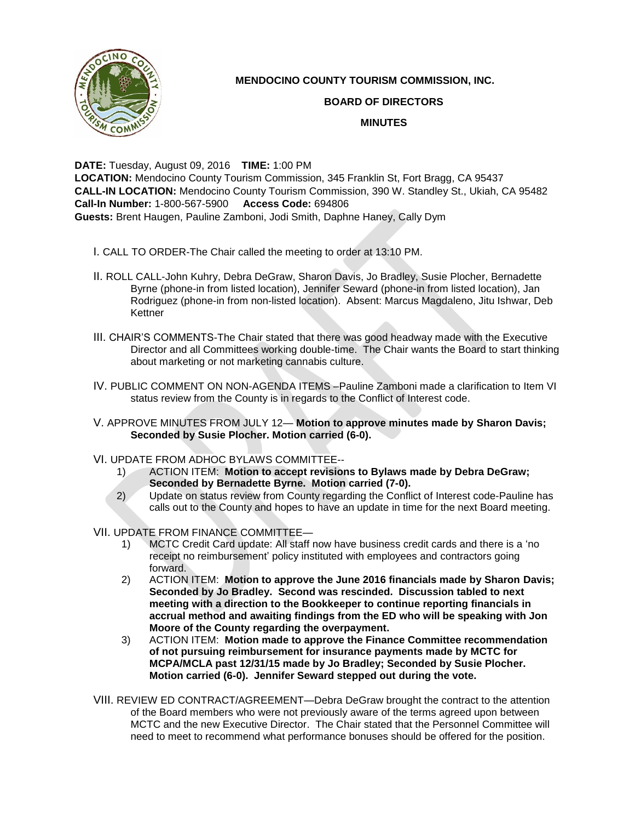

## **MENDOCINO COUNTY TOURISM COMMISSION, INC.**

## **BOARD OF DIRECTORS**

## **MINUTES**

**DATE:** Tuesday, August 09, 2016 **TIME:** 1:00 PM **LOCATION:** Mendocino County Tourism Commission, 345 Franklin St, Fort Bragg, CA 95437 **CALL-IN LOCATION:** Mendocino County Tourism Commission, 390 W. Standley St., Ukiah, CA 95482 **Call-In Number:** 1-800-567-5900 **Access Code:** 694806 **Guests:** Brent Haugen, Pauline Zamboni, Jodi Smith, Daphne Haney, Cally Dym

- I. CALL TO ORDER-The Chair called the meeting to order at 13:10 PM.
- II. ROLL CALL-John Kuhry, Debra DeGraw, Sharon Davis, Jo Bradley, Susie Plocher, Bernadette Byrne (phone-in from listed location), Jennifer Seward (phone-in from listed location), Jan Rodriguez (phone-in from non-listed location). Absent: Marcus Magdaleno, Jitu Ishwar, Deb Kettner
- III. CHAIR'S COMMENTS-The Chair stated that there was good headway made with the Executive Director and all Committees working double-time. The Chair wants the Board to start thinking about marketing or not marketing cannabis culture.
- IV. PUBLIC COMMENT ON NON-AGENDA ITEMS –Pauline Zamboni made a clarification to Item VI status review from the County is in regards to the Conflict of Interest code.
- V. APPROVE MINUTES FROM JULY 12— **Motion to approve minutes made by Sharon Davis; Seconded by Susie Plocher. Motion carried (6-0).**
- VI. UPDATE FROM ADHOC BYLAWS COMMITTEE--
	- 1) ACTION ITEM: **Motion to accept revisions to Bylaws made by Debra DeGraw; Seconded by Bernadette Byrne. Motion carried (7-0).**
	- 2) Update on status review from County regarding the Conflict of Interest code-Pauline has calls out to the County and hopes to have an update in time for the next Board meeting.
- VII. UPDATE FROM FINANCE COMMITTEE—
	- 1) MCTC Credit Card update: All staff now have business credit cards and there is a 'no receipt no reimbursement' policy instituted with employees and contractors going forward.
	- 2) ACTION ITEM: **Motion to approve the June 2016 financials made by Sharon Davis; Seconded by Jo Bradley. Second was rescinded. Discussion tabled to next meeting with a direction to the Bookkeeper to continue reporting financials in accrual method and awaiting findings from the ED who will be speaking with Jon Moore of the County regarding the overpayment.**
	- 3) ACTION ITEM: **Motion made to approve the Finance Committee recommendation of not pursuing reimbursement for insurance payments made by MCTC for MCPA/MCLA past 12/31/15 made by Jo Bradley; Seconded by Susie Plocher. Motion carried (6-0). Jennifer Seward stepped out during the vote.**
- VIII. REVIEW ED CONTRACT/AGREEMENT—Debra DeGraw brought the contract to the attention of the Board members who were not previously aware of the terms agreed upon between MCTC and the new Executive Director. The Chair stated that the Personnel Committee will need to meet to recommend what performance bonuses should be offered for the position.